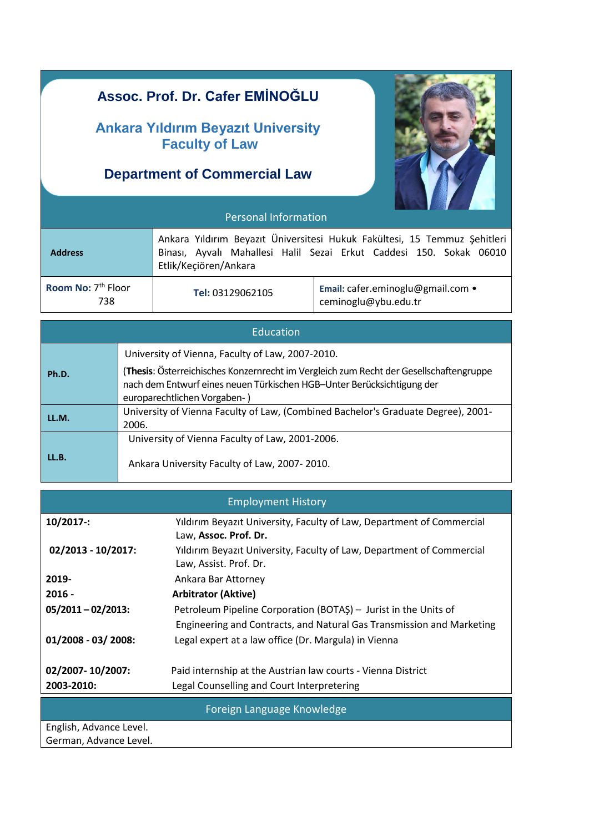# Personal Information  **Address** Ankara Yıldırım Beyazıt Üniversitesi Hukuk Fakültesi, 15 Temmuz Şehitleri Binası, Ayvalı Mahallesi Halil Sezai Erkut Caddesi 150. Sokak 06010 Etlik/Keçiören/Ankara Room No: 7<sup>th</sup> Floor 738 **Tel:** 03129062105 **Email:** cafer.eminoglu@gmail.com • ceminoglu@ybu.edu.tr Education **Assoc. Prof. Dr. Cafer EMİNOĞLU Ankara Yıldırım Beyazıt University Faculty of Law Department of Commercial Law**

|       | University of Vienna, Faculty of Law, 2007-2010.                                                                                                                                                 |  |  |  |
|-------|--------------------------------------------------------------------------------------------------------------------------------------------------------------------------------------------------|--|--|--|
| Ph.D. | (Thesis: Österreichisches Konzernrecht im Vergleich zum Recht der Gesellschaftengruppe<br>nach dem Entwurf eines neuen Türkischen HGB-Unter Berücksichtigung der<br>europarechtlichen Vorgaben-) |  |  |  |
| LL.M. | University of Vienna Faculty of Law, (Combined Bachelor's Graduate Degree), 2001-<br>2006.                                                                                                       |  |  |  |
|       | University of Vienna Faculty of Law, 2001-2006.                                                                                                                                                  |  |  |  |
| LL.B. | Ankara University Faculty of Law, 2007-2010.                                                                                                                                                     |  |  |  |

| <b>Employment History</b> |  |
|---------------------------|--|
|                           |  |

| $10/2017$ :                | Yildirim Beyazit University, Faculty of Law, Department of Commercial<br>Law, Assoc. Prof. Dr.  |  |
|----------------------------|-------------------------------------------------------------------------------------------------|--|
| 02/2013 - 10/2017:         | Yıldırım Beyazıt University, Faculty of Law, Department of Commercial<br>Law, Assist. Prof. Dr. |  |
| 2019-                      | Ankara Bar Attorney                                                                             |  |
| $2016 -$                   | <b>Arbitrator (Aktive)</b>                                                                      |  |
| $05/2011 - 02/2013$ :      | Petroleum Pipeline Corporation (BOTAŞ) - Jurist in the Units of                                 |  |
|                            | Engineering and Contracts, and Natural Gas Transmission and Marketing                           |  |
| 01/2008 - 03/2008:         | Legal expert at a law office (Dr. Margula) in Vienna                                            |  |
| 02/2007-10/2007:           | Paid internship at the Austrian law courts - Vienna District                                    |  |
| 2003-2010:                 | Legal Counselling and Court Interpretering                                                      |  |
| Foreign Language Knowledge |                                                                                                 |  |
| English, Advance Level.    |                                                                                                 |  |
| German, Advance Level.     |                                                                                                 |  |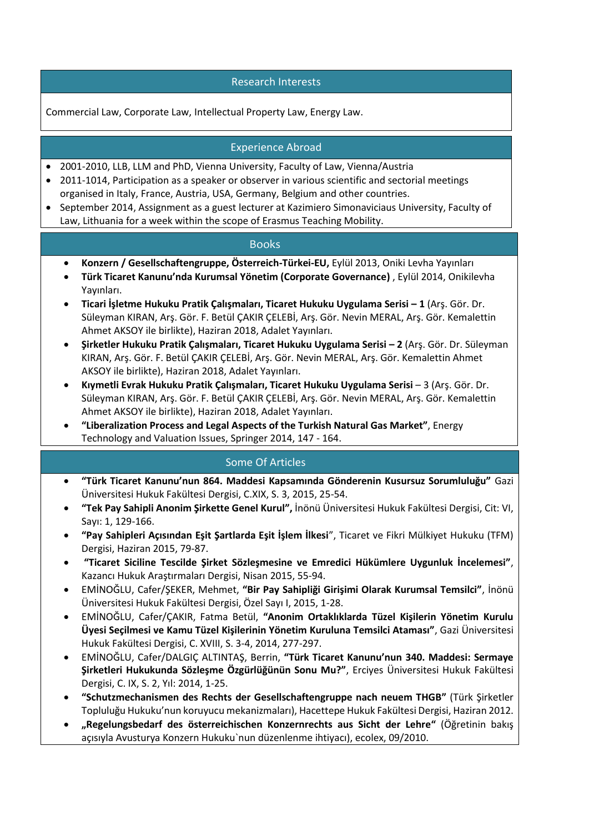#### Research Interests

Commercial Law, Corporate Law, Intellectual Property Law, Energy Law.

## Experience Abroad

- 2001-2010, LLB, LLM and PhD, Vienna University, Faculty of Law, Vienna/Austria
- 2011-1014, Participation as a speaker or observer in various scientific and sectorial meetings organised in Italy, France, Austria, USA, Germany, Belgium and other countries.
- September 2014, Assignment as a guest lecturer at Kazimiero Simonaviciaus University, Faculty of Law, Lithuania for a week within the scope of Erasmus Teaching Mobility.

#### Books

- **Konzern / Gesellschaftengruppe, Österreich-Türkei-EU,** Eylül 2013, Oniki Levha Yayınları
- **Türk Ticaret Kanunu'nda Kurumsal Yönetim (Corporate Governance)** , Eylül 2014, Onikilevha Yayınları.
- **Ticari İşletme Hukuku Pratik Çalışmaları, Ticaret Hukuku Uygulama Serisi – 1** (Arş. Gör. Dr. Süleyman KIRAN, Arş. Gör. F. Betül ÇAKIR ÇELEBİ, Arş. Gör. Nevin MERAL, Arş. Gör. Kemalettin Ahmet AKSOY ile birlikte), Haziran 2018, Adalet Yayınları.
- **Şirketler Hukuku Pratik Çalışmaları, Ticaret Hukuku Uygulama Serisi – 2** (Arş. Gör. Dr. Süleyman KIRAN, Arş. Gör. F. Betül ÇAKIR ÇELEBİ, Arş. Gör. Nevin MERAL, Arş. Gör. Kemalettin Ahmet AKSOY ile birlikte), Haziran 2018, Adalet Yayınları.
- **Kıymetli Evrak Hukuku Pratik Çalışmaları, Ticaret Hukuku Uygulama Serisi** 3 (Arş. Gör. Dr. Süleyman KIRAN, Arş. Gör. F. Betül ÇAKIR ÇELEBİ, Arş. Gör. Nevin MERAL, Arş. Gör. Kemalettin Ahmet AKSOY ile birlikte), Haziran 2018, Adalet Yayınları.
- **"Liberalization Process and Legal Aspects of the Turkish Natural Gas Market"**, Energy Technology and Valuation Issues, Springer 2014, 147 - 164.

#### Some Of Articles

- **"Türk Ticaret Kanunu'nun 864. Maddesi Kapsamında Gönderenin Kusursuz Sorumluluğu"** Gazi Üniversitesi Hukuk Fakültesi Dergisi, C.XIX, S. 3, 2015, 25-54.
- **"Tek Pay Sahipli Anonim Şirkette Genel Kurul",** İnönü Üniversitesi Hukuk Fakültesi Dergisi, Cit: VI, Sayı: 1, 129-166.
- **"Pay Sahipleri Açısından Eşit Şartlarda Eşit İşlem İlkesi**", Ticaret ve Fikri Mülkiyet Hukuku (TFM) Dergisi, Haziran 2015, 79-87.
- **"Ticaret Siciline Tescilde Şirket Sözleşmesine ve Emredici Hükümlere Uygunluk İncelemesi"**, Kazancı Hukuk Araştırmaları Dergisi, Nisan 2015, 55-94.
- EMİNOĞLU, Cafer/ŞEKER, Mehmet, **"Bir Pay Sahipliği Girişimi Olarak Kurumsal Temsilci"**, İnönü Üniversitesi Hukuk Fakültesi Dergisi, Özel Sayı I, 2015, 1-28.
- EMİNOĞLU, Cafer/ÇAKIR, Fatma Betül, **"Anonim Ortaklıklarda Tüzel Kişilerin Yönetim Kurulu Üyesi Seçilmesi ve Kamu Tüzel Kişilerinin Yönetim Kuruluna Temsilci Ataması"**, Gazi Üniversitesi Hukuk Fakültesi Dergisi, C. XVIII, S. 3-4, 2014, 277-297.
- EMİNOĞLU, Cafer/DALGIÇ ALTINTAŞ, Berrin, **"Türk Ticaret Kanunu'nun 340. Maddesi: Sermaye Şirketleri Hukukunda Sözleşme Özgürlüğünün Sonu Mu?"**, Erciyes Üniversitesi Hukuk Fakültesi Dergisi, C. IX, S. 2, Yıl: 2014, 1-25.
- **"Schutzmechanismen des Rechts der Gesellschaftengruppe nach neuem THGB"** (Türk Şirketler Topluluğu Hukuku'nun koruyucu mekanizmaları), Hacettepe Hukuk Fakültesi Dergisi, Haziran 2012.
- **"Regelungsbedarf des österreichischen Konzernrechts aus Sicht der Lehre"** (Öğretinin bakış açısıyla Avusturya Konzern Hukuku`nun düzenlenme ihtiyacı), ecolex, 09/2010.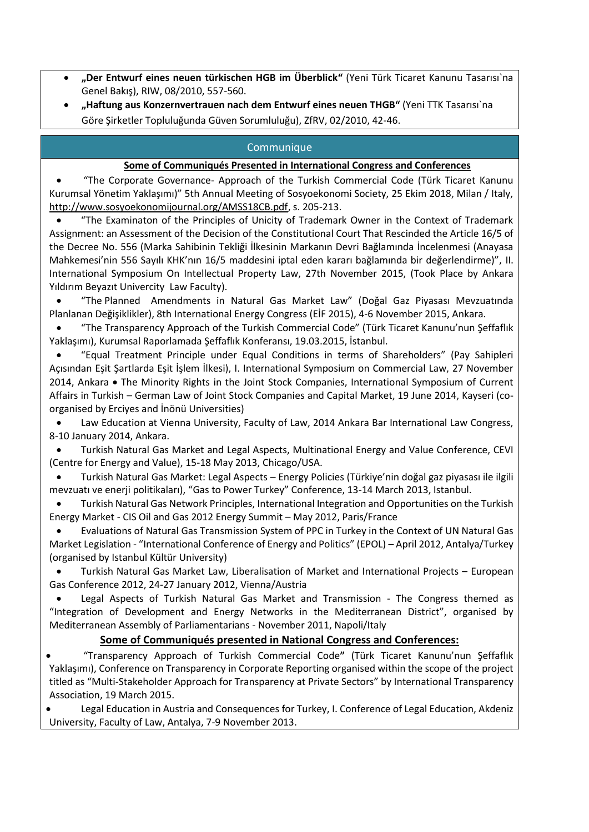- **"Der Entwurf eines neuen türkischen HGB im Überblick"** (Yeni Türk Ticaret Kanunu Tasarısı`na Genel Bakış), RIW, 08/2010, 557-560.
- **"Haftung aus Konzernvertrauen nach dem Entwurf eines neuen THGB"** (Yeni TTK Tasarısı`na Göre Şirketler Topluluğunda Güven Sorumluluğu), ZfRV, 02/2010, 42-46.

## Communique

#### **Some of Communiqués Presented in International Congress and Conferences**

 "The Corporate Governance- Approach of the Turkish Commercial Code (Türk Ticaret Kanunu Kurumsal Yönetim Yaklaşımı)" 5th Annual Meeting of Sosyoekonomi Society, 25 Ekim 2018, Milan / Italy, [http://www.sosyoekonomijournal.org/AMSS18CB.pdf,](http://www.sosyoekonomijournal.org/AMSS18CB.pdf) s. 205-213.

 "The Examinaton of the Principles of Unicity of Trademark Owner in the Context of Trademark Assignment: an Assessment of the Decision of the Constitutional Court That Rescinded the Article 16/5 of the Decree No. 556 (Marka Sahibinin Tekliği İlkesinin Markanın Devri Bağlamında İncelenmesi (Anayasa Mahkemesi'nin 556 Sayılı KHK'nın 16/5 maddesini iptal eden kararı bağlamında bir değerlendirme)", II. International Symposium On Intellectual Property Law, 27th November 2015, (Took Place by Ankara Yıldırım Beyazıt Univercity Law Faculty).

 "The Planned Amendments in Natural Gas Market Law" (Doğal Gaz Piyasası Mevzuatında Planlanan Değişiklikler), 8th International Energy Congress (EİF 2015), 4-6 November 2015, Ankara.

 "The Transparency Approach of the Turkish Commercial Code" (Türk Ticaret Kanunu'nun Şeffaflık Yaklaşımı), Kurumsal Raporlamada Şeffaflık Konferansı, 19.03.2015, İstanbul.

 "Equal Treatment Principle under Equal Conditions in terms of Shareholders" (Pay Sahipleri Açısından Eşit Şartlarda Eşit İşlem İlkesi), I. International Symposium on Commercial Law, 27 November 2014, Ankara • The Minority Rights in the Joint Stock Companies, International Symposium of Current Affairs in Turkish – German Law of Joint Stock Companies and Capital Market, 19 June 2014, Kayseri (coorganised by Erciyes and İnönü Universities)

 Law Education at Vienna University, Faculty of Law, 2014 Ankara Bar International Law Congress, 8-10 January 2014, Ankara.

 Turkish Natural Gas Market and Legal Aspects, Multinational Energy and Value Conference, CEVI (Centre for Energy and Value), 15-18 May 2013, Chicago/USA.

 Turkish Natural Gas Market: Legal Aspects – Energy Policies (Türkiye'nin doğal gaz piyasası ile ilgili mevzuatı ve enerji politikaları), "Gas to Power Turkey" Conference, 13-14 March 2013, Istanbul.

 Turkish Natural Gas Network Principles, International Integration and Opportunities on the Turkish Energy Market - CIS Oil and Gas 2012 Energy Summit – May 2012, Paris/France

 Evaluations of Natural Gas Transmission System of PPC in Turkey in the Context of UN Natural Gas Market Legislation - "International Conference of Energy and Politics" (EPOL) – April 2012, Antalya/Turkey (organised by Istanbul Kültür University)

 Turkish Natural Gas Market Law, Liberalisation of Market and International Projects – European Gas Conference 2012, 24-27 January 2012, Vienna/Austria

 Legal Aspects of Turkish Natural Gas Market and Transmission - The Congress themed as "Integration of Development and Energy Networks in the Mediterranean District", organised by Mediterranean Assembly of Parliamentarians - November 2011, Napoli/Italy

#### **Some of Communiqués presented in National Congress and Conferences:**

 "Transparency Approach of Turkish Commercial Code**"** (Türk Ticaret Kanunu'nun Şeffaflık Yaklaşımı), Conference on Transparency in Corporate Reporting organised within the scope of the project titled as "Multi-Stakeholder Approach for Transparency at Private Sectors" by International Transparency Association, 19 March 2015.

 Legal Education in Austria and Consequences for Turkey, I. Conference of Legal Education, Akdeniz University, Faculty of Law, Antalya, 7-9 November 2013.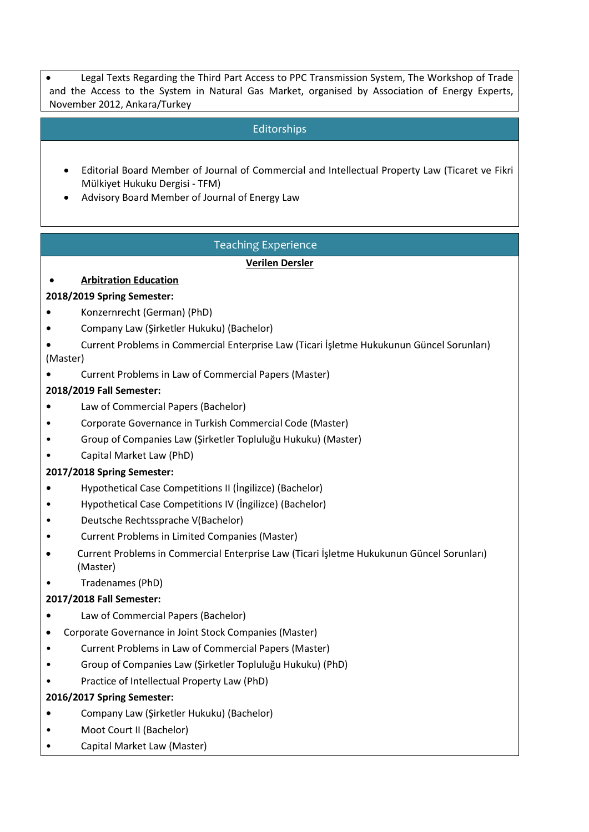Legal Texts Regarding the Third Part Access to PPC Transmission System, The Workshop of Trade and the Access to the System in Natural Gas Market, organised by Association of Energy Experts, November 2012, Ankara/Turkey

# Editorships

- Editorial Board Member of Journal of Commercial and Intellectual Property Law (Ticaret ve Fikri Mülkiyet Hukuku Dergisi - TFM)
- Advisory Board Member of Journal of Energy Law

# Teaching Experience

#### **Verilen Dersler**

# **Arbitration Education**

#### **2018/2019 Spring Semester:**

- **•** Konzernrecht (German) (PhD)
- **•** Company Law (Şirketler Hukuku) (Bachelor)

**•** Current Problems in Commercial Enterprise Law (Ticari İşletme Hukukunun Güncel Sorunları) (Master)

**•** Current Problems in Law of Commercial Papers (Master)

## **2018/2019 Fall Semester:**

- **•** Law of Commercial Papers (Bachelor)
- Corporate Governance in Turkish Commercial Code (Master)
- Group of Companies Law (Şirketler Topluluğu Hukuku) (Master)
- Capital Market Law (PhD)

#### **2017/2018 Spring Semester:**

- **•** Hypothetical Case Competitions II (İngilizce) (Bachelor)
- Hypothetical Case Competitions IV (İngilizce) (Bachelor)
- Deutsche Rechtssprache V(Bachelor)
- Current Problems in Limited Companies (Master)
- Current Problems in Commercial Enterprise Law (Ticari İşletme Hukukunun Güncel Sorunları) (Master)
- Tradenames (PhD)

#### **2017/2018 Fall Semester:**

- **•** Law of Commercial Papers (Bachelor)
- Corporate Governance in Joint Stock Companies (Master)
- Current Problems in Law of Commercial Papers (Master)
- Group of Companies Law (Şirketler Topluluğu Hukuku) (PhD)
- Practice of Intellectual Property Law (PhD)

#### **2016/2017 Spring Semester:**

- **•** Company Law (Şirketler Hukuku) (Bachelor)
- Moot Court II (Bachelor)
- Capital Market Law (Master)